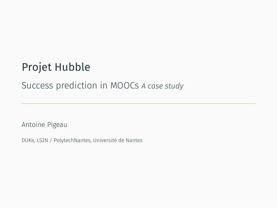# Projet Hubble

### Success prediction in MOOCs *A case study*

Antoine Pigeau

DUKe, LS2N / PolytechNantes, Université de Nantes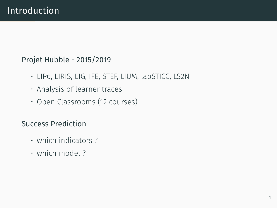#### Projet Hubble - 2015/2019

- LIP6, LIRIS, LIG, IFE, STEF, LIUM, labSTICC, LS2N
- Analysis of learner traces
- Open Classrooms (12 courses)

### Success Prediction

- which indicators ?
- which model ?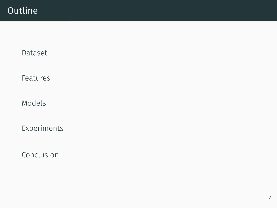## **Outline**

[Dataset](#page-3-0)

[Features](#page-5-0)

[Models](#page-6-0)

[Experiments](#page-7-0)

[Conclusion](#page-8-0)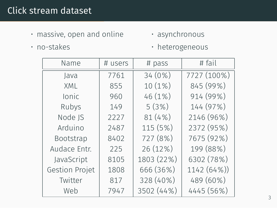## <span id="page-3-0"></span>Click stream dataset

• massive, open and online

• asynchronous

• no-stakes

• heterogeneous

| Name           | # users | # pass     | # fail      |
|----------------|---------|------------|-------------|
| Java           | 7761    | 34 (0%)    | 7727 (100%) |
| XML            | 855     | 10 (1%)    | 845 (99%)   |
| <b>Ionic</b>   | 960     | 46 (1%)    | 914 (99%)   |
| Rubys          | 149     | 5(3%)      | 144 (97%)   |
| Node JS        | 2227    | 81(4%)     | 2146 (96%)  |
| Arduino        | 2487    | 115 (5%)   | 2372 (95%)  |
| Bootstrap      | 8402    | 727 (8%)   | 7675 (92%)  |
| Audace Entr.   | 225     | 26 (12%)   | 199 (88%)   |
| JavaScript     | 8105    | 1803 (22%) | 6302 (78%)  |
| Gestion Projet | 1808    | 666 (36%)  | 1142 (64%)) |
| Twitter        | 817     | 328 (40%)  | 489 (60%)   |
| Web            | 7947    | 3502 (44%) | 4445 (56%)  |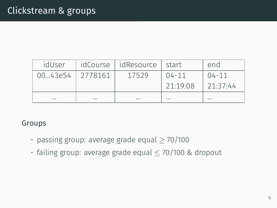| idUser           |          | idCourse   idResource   start |           | end       |
|------------------|----------|-------------------------------|-----------|-----------|
| 00.43e54 2778161 |          | 17529                         | $04 - 11$ | $04 - 11$ |
|                  |          |                               | 21:19:08  | 21:37:44  |
| $\cdots$         | $\cdots$ | $\cdots$                      | $\cdots$  | $\cdots$  |

#### Groups

- passing group: average grade equal *≥* 70/100
- failing group: average grade equal *≤* 70/100 & dropout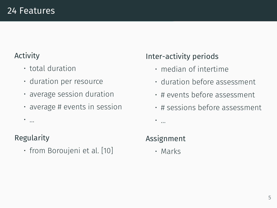### <span id="page-5-0"></span>Activity

- total duration
- duration per resource
- average session duration
- $\cdot$  average # events in session

### Regularity

• …

• from Boroujeni et al. [10]

## Inter-activity periods

- median of intertime
- duration before assessment
- # events before assessment
- # sessions before assessment
- …

## Assignment

• Marks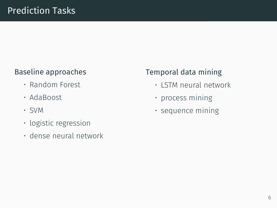### <span id="page-6-0"></span>Baseline approaches

- Random Forest
- AdaBoost
- SVM
- logistic regression
- dense neural network

## Temporal data mining

- LSTM neural network
- process mining
- sequence mining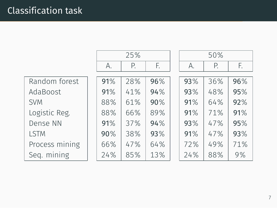<span id="page-7-0"></span>

|                | 25% |     |     | 50% |     |     |
|----------------|-----|-----|-----|-----|-----|-----|
|                | А.  | Р.  | F.  | А.  | Р.  | F.  |
| Random forest  |     | 28% | 96% |     |     | 96% |
|                | 91% |     |     | 93% | 36% |     |
| AdaBoost       | 91% | 41% | 94% | 93% | 48% | 95% |
| <b>SVM</b>     | 88% | 61% | 90% | 91% | 64% | 92% |
| Logistic Reg.  | 88% | 66% | 89% | 91% | 71% | 91% |
| Dense NN       | 91% | 37% | 94% | 93% | 47% | 95% |
| <b>LSTM</b>    | 90% | 38% | 93% | 91% | 47% | 93% |
| Process mining | 66% | 47% | 64% | 72% | 49% | 71% |
| Seg. mining    | 24% | 85% | 13% | 24% | 88% | 9%  |